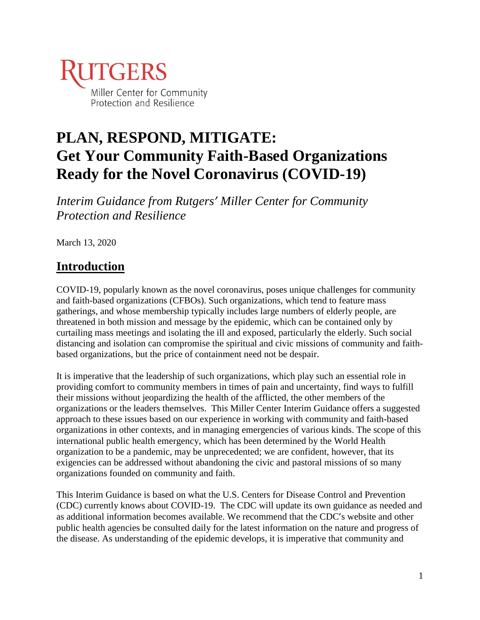

# **PLAN, RESPOND, MITIGATE: Get Your Community Faith-Based Organizations Ready for the Novel Coronavirus (COVID-19)**

*Interim Guidance from Rutgers' Miller Center for Community Protection and Resilience*

March 13, 2020

## **Introduction**

COVID-19, popularly known as the novel coronavirus, poses unique challenges for community and faith-based organizations (CFBOs). Such organizations, which tend to feature mass gatherings, and whose membership typically includes large numbers of elderly people, are threatened in both mission and message by the epidemic, which can be contained only by curtailing mass meetings and isolating the ill and exposed, particularly the elderly. Such social distancing and isolation can compromise the spiritual and civic missions of community and faithbased organizations, but the price of containment need not be despair.

It is imperative that the leadership of such organizations, which play such an essential role in providing comfort to community members in times of pain and uncertainty, find ways to fulfill their missions without jeopardizing the health of the afflicted, the other members of the organizations or the leaders themselves. This Miller Center Interim Guidance offers a suggested approach to these issues based on our experience in working with community and faith-based organizations in other contexts, and in managing emergencies of various kinds. The scope of this international public health emergency, which has been determined by the World Health organization to be a pandemic, may be unprecedented; we are confident, however, that its exigencies can be addressed without abandoning the civic and pastoral missions of so many organizations founded on community and faith.

This Interim Guidance is based on what the U.S. Centers for Disease Control and Prevention (CDC) currently knows about COVID-19. The CDC will update its own guidance as needed and as additional information becomes available. We recommend that the CDC's website and other public health agencies be consulted daily for the latest information on the nature and progress of the disease. As understanding of the epidemic develops, it is imperative that community and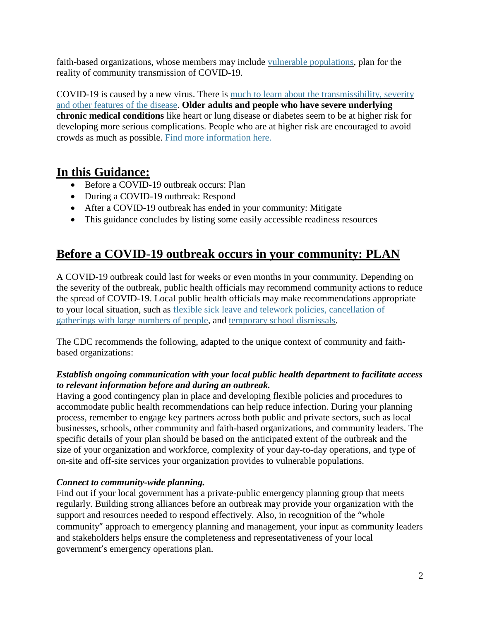faith-based organizations, whose members may include vulnerable [populations,](https://www.cdc.gov/cpr/whatwedo/00_docs/Issue_Brief_Vulnerable_pops.pdf) plan for the reality of community transmission of COVID-19.

COVID-19 is caused by a new virus. There is much to learn about the [transmissibility,](https://www.cdc.gov/coronavirus/2019-ncov/about/transmission.html) severity and other [features](https://www.cdc.gov/coronavirus/2019-ncov/about/transmission.html) of the disease. **Older adults and people who have severe underlying chronic medical conditions** like heart or lung disease or diabetes seem to be at higher risk for developing more serious complications. People who are at higher risk are encouraged to avoid crowds as much as possible. Find more [information](https://www.cdc.gov/coronavirus/2019-ncov/index.html) here.

### **In this Guidance:**

- Before a COVID-19 outbreak occurs: Plan
- During a COVID-19 outbreak: Respond
- After a COVID-19 outbreak has ended in your community: Mitigate
- This guidance concludes by listing some easily accessible readiness resources

### **Before a COVID-19 outbreak occurs in your community: PLAN**

A COVID-19 outbreak could last for weeks or even months in your community. Depending on the severity of the outbreak, public health officials may recommend community actions to reduce the spread of COVID-19. Local public health officials may make recommendations appropriate to your local situation, such as flexible sick leave and telework policies, [cancellation](https://www.cdc.gov/coronavirus/2019-ncov/community/guidance-business-response.html?CDC_AA_refVal=https%3A%2F%2Fwww.cdc.gov%2Fcoronavirus%2F2019-ncov%2Fspecific-groups%2Fguidance-business-response.html) of [gatherings](https://www.cdc.gov/coronavirus/2019-ncov/community/guidance-business-response.html?CDC_AA_refVal=https%3A%2F%2Fwww.cdc.gov%2Fcoronavirus%2F2019-ncov%2Fspecific-groups%2Fguidance-business-response.html) with large numbers of people, and temporary school [dismissals.](https://www.cdc.gov/coronavirus/2019-ncov/community/schools-childcare/guidance-for-schools.html?CDC_AA_refVal=https%3A%2F%2Fwww.cdc.gov%2Fcoronavirus%2F2019-ncov%2Fspecific-groups%2Fguidance-for-schools.html)

The CDC recommends the following, adapted to the unique context of community and faithbased organizations:

### *Establish ongoing communication with your local public health department to facilitate access to relevant information before and during an outbreak.*

Having a good contingency plan in place and developing flexible policies and procedures to accommodate public health recommendations can help reduce infection. During your planning process, remember to engage key partners across both public and private sectors, such as local businesses, schools, other community and faith-based organizations, and community leaders. The specific details of your plan should be based on the anticipated extent of the outbreak and the size of your organization and workforce, complexity of your day-to-day operations, and type of on-site and off-site services your organization provides to vulnerable populations.

### *Connect to community-wide planning.*

Find out if your local government has a private-public emergency planning group that meets regularly. Building strong alliances before an outbreak may provide your organization with the support and resources needed to respond effectively. Also, in recognition of the "whole community" approach to emergency planning and management, your input as community leaders and stakeholders helps ensure the completeness and representativeness of your local government's emergency operations plan.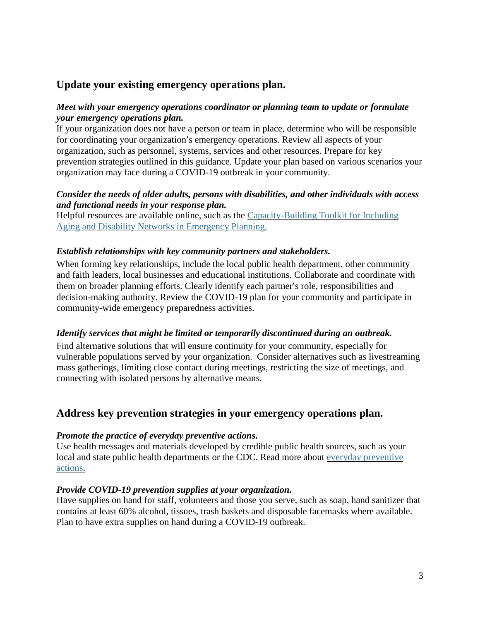### **Update your existing emergency operations plan.**

### *Meet with your emergency operations coordinator or planning team to update or formulate your emergency operations plan.*

If your organization does not have a person or team in place, determine who will be responsible for coordinating your organization's emergency operations. Review all aspects of your organization, such as personnel, systems, services and other resources. Prepare for key prevention strategies outlined in this guidance. Update your plan based on various scenarios your organization may face during a COVID-19 outbreak in your community.

### *Consider the needs of older adults, persons with disabilities, and other individuals with access and functional needs in your response plan.*

Helpful resources are available online, such as the [Capacity-Building](https://www.naccho.org/uploads/downloadable-resources/Capacity-Building-Toolkit-for-Aging-and-Disability-Networks-2-5-19.pdf) Toolkit for Including Aging and Disability Networks in [Emergency](https://www.naccho.org/uploads/downloadable-resources/Capacity-Building-Toolkit-for-Aging-and-Disability-Networks-2-5-19.pdf) Planning.

### *Establish relationships with key community partners and stakeholders.*

When forming key relationships, include the local public health department, other community and faith leaders, local businesses and educational institutions. Collaborate and coordinate with them on broader planning efforts. Clearly identify each partner's role, responsibilities and decision-making authority. Review the COVID-19 plan for your community and participate in community-wide emergency preparedness activities.

### *Identify services that might be limited or temporarily discontinued during an outbreak.*

Find alternative solutions that will ensure continuity for your community, especially for vulnerable populations served by your organization. Consider alternatives such as livestreaming mass gatherings, limiting close contact during meetings, restricting the size of meetings, and connecting with isolated persons by alternative means.

### **Address key prevention strategies in your emergency operations plan.**

#### *Promote the practice of everyday preventive actions.*

Use health messages and materials developed by credible public health sources, such as your local and state public health departments or the CDC. Read more about everyday [preventive](https://www.cdc.gov/coronavirus/2019-ncov/about/prevention.html?CDC_AA_refVal=https%3A%2F%2Fwww.cdc.gov%2Fcoronavirus%2F2019-ncov%2Fabout%2Fprevention-treatment.html) [actions.](https://www.cdc.gov/coronavirus/2019-ncov/about/prevention.html?CDC_AA_refVal=https%3A%2F%2Fwww.cdc.gov%2Fcoronavirus%2F2019-ncov%2Fabout%2Fprevention-treatment.html)

#### *Provide COVID-19 prevention supplies at your organization.*

Have supplies on hand for staff, volunteers and those you serve, such as soap, hand sanitizer that contains at least 60% alcohol, tissues, trash baskets and disposable facemasks where available. Plan to have extra supplies on hand during a COVID-19 outbreak.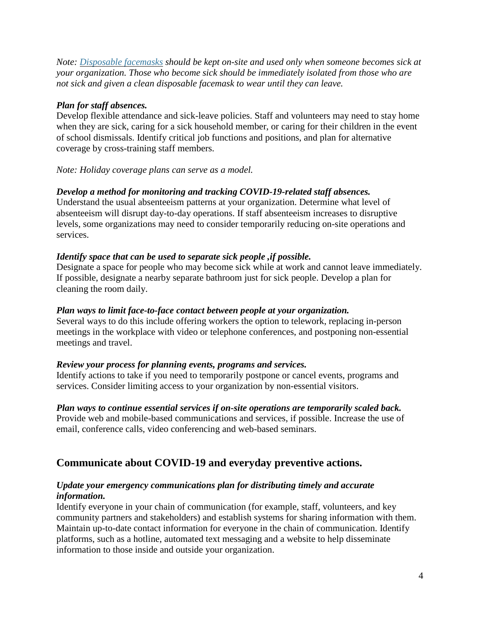*Note: [Disposable](https://www.cdc.gov/niosh/npptl/pdfs/UnderstandDifferenceInfographic-508.pdf) facemasks should be kept on-site and used only when someone becomes sick at your organization. Those who become sick should be immediately isolated from those who are not sick and given a clean disposable facemask to wear until they can leave.*

### *Plan for staff absences.*

Develop flexible attendance and sick-leave policies. Staff and volunteers may need to stay home when they are sick, caring for a sick household member, or caring for their children in the event of school dismissals. Identify critical job functions and positions, and plan for alternative coverage by cross-training staff members.

#### *Note: Holiday coverage plans can serve as a model.*

### *Develop a method for monitoring and tracking COVID-19-related staff absences.*

Understand the usual absenteeism patterns at your organization. Determine what level of absenteeism will disrupt day-to-day operations. If staff absenteeism increases to disruptive levels, some organizations may need to consider temporarily reducing on-site operations and services.

#### *Identify space that can be used to separate sick people ,if possible.*

Designate a space for people who may become sick while at work and cannot leave immediately. If possible, designate a nearby separate bathroom just for sick people. Develop a plan for cleaning the room daily.

#### *Plan ways to limit face-to-face contact between people at your organization.*

Several ways to do this include offering workers the option to telework, replacing in-person meetings in the workplace with video or telephone conferences, and postponing non-essential meetings and travel.

#### *Review your process for planning events, programs and services.*

Identify actions to take if you need to temporarily postpone or cancel events, programs and services. Consider limiting access to your organization by non-essential visitors.

## *Plan ways to continue essential services if on-site operations are temporarily scaled back.*

Provide web and mobile-based communications and services, if possible. Increase the use of email, conference calls, video conferencing and web-based seminars.

### **Communicate about COVID-19 and everyday preventive actions.**

#### *Update your emergency communications plan for distributing timely and accurate information.*

Identify everyone in your chain of communication (for example, staff, volunteers, and key community partners and stakeholders) and establish systems for sharing information with them. Maintain up-to-date contact information for everyone in the chain of communication. Identify platforms, such as a hotline, automated text messaging and a website to help disseminate information to those inside and outside your organization.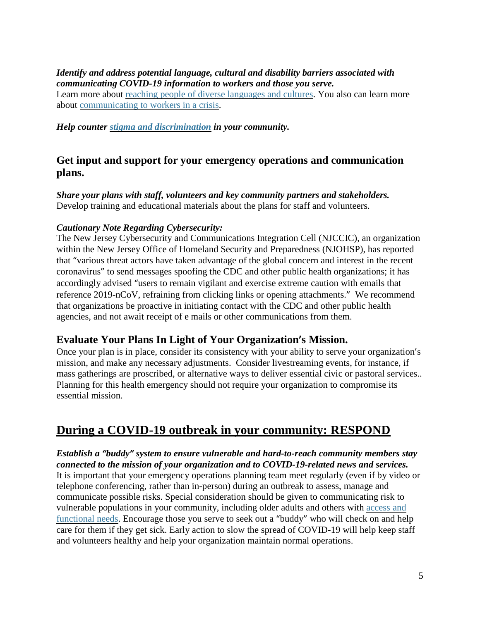### *Identify and address potential language, cultural and disability barriers associated with communicating COVID-19 information to workers and those you serve.*

Learn more about reaching people of diverse [languages](https://www.cdc.gov/healthcommunication/Audience/index.html) and cultures. You also can learn more about [communicating](https://www.ready.gov/business/implementation/crisis) to workers in a crisis.

*Help counter stigma and [discrimination](https://www.cdc.gov/coronavirus/2019-ncov/about/related-stigma.html) in your community.*

### **Get input and support for your emergency operations and communication plans.**

*Share your plans with staff, volunteers and key community partners and stakeholders.* Develop training and educational materials about the plans for staff and volunteers.

### *Cautionary Note Regarding Cybersecurity:*

The New Jersey Cybersecurity and Communications Integration Cell (NJCCIC), an organization within the New Jersey Office of Homeland Security and Preparedness (NJOHSP), has reported that "various threat actors have taken advantage of the global concern and interest in the recent coronavirus" to send messages spoofing the CDC and other public health organizations; it has accordingly advised "users to remain vigilant and exercise extreme caution with emails that reference 2019-nCoV, refraining from clicking links or opening attachments." We recommend that organizations be proactive in initiating contact with the CDC and other public health agencies, and not await receipt of e mails or other communications from them.

### **Evaluate Your Plans In Light of Your Organization's Mission.**

Once your plan is in place, consider its consistency with your ability to serve your organization's mission, and make any necessary adjustments. Consider livestreaming events, for instance, if mass gatherings are proscribed, or alternative ways to deliver essential civic or pastoral services.. Planning for this health emergency should not require your organization to compromise its essential mission.

## **During a COVID-19 outbreak in your community: RESPOND**

*Establish a "buddy" system to ensure vulnerable and hard-to-reach community members stay connected to the mission of your organization and to COVID-19-related news and services.* It is important that your emergency operations planning team meet regularly (even if by video or telephone conferencing, rather than in-person) during an outbreak to assess, manage and communicate possible risks. Special consideration should be given to communicating risk to vulnerable populations in your community, including older adults and others with [access](https://asprtracie.hhs.gov/technical-resources/62/access-and-functional-needs/0#population-specific-resources-older-adults) and [functional](https://asprtracie.hhs.gov/technical-resources/62/access-and-functional-needs/0#population-specific-resources-older-adults) needs. Encourage those you serve to seek out a "buddy" who will check on and help care for them if they get sick. Early action to slow the spread of COVID-19 will help keep staff and volunteers healthy and help your organization maintain normal operations.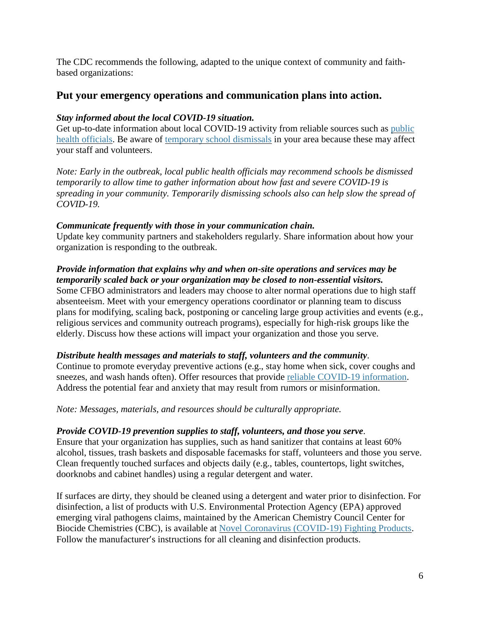The CDC recommends the following, adapted to the unique context of community and faithbased organizations:

### **Put your emergency operations and communication plans into action.**

#### *Stay informed about the local COVID-19 situation.*

Get up-to-date information about local COVID-19 activity from reliable sources such as [public](https://www.naccho.org/membership/lhd-directory) health [officials.](https://www.naccho.org/membership/lhd-directory) Be aware of [temporary](https://www.cdc.gov/coronavirus/2019-ncov/community/schools-childcare/guidance-for-schools.html?CDC_AA_refVal=https%3A%2F%2Fwww.cdc.gov%2Fcoronavirus%2F2019-ncov%2Fspecific-groups%2Fguidance-for-schools.html) school dismissals in your area because these may affect your staff and volunteers.

*Note: Early in the outbreak, local public health officials may recommend schools be dismissed temporarily to allow time to gather information about how fast and severe COVID-19 is spreading in your community. Temporarily dismissing schools also can help slow the spread of COVID-19.*

### *Communicate frequently with those in your communication chain.*

Update key community partners and stakeholders regularly. Share information about how your organization is responding to the outbreak.

#### *Provide information that explains why and when on-site operations and services may be temporarily scaled back or your organization may be closed to non-essential visitors.*

Some CFBO administrators and leaders may choose to alter normal operations due to high staff absenteeism. Meet with your emergency operations coordinator or planning team to discuss plans for modifying, scaling back, postponing or canceling large group activities and events (e.g., religious services and community outreach programs), especially for high-risk groups like the elderly. Discuss how these actions will impact your organization and those you serve.

### *Distribute health messages and materials to staff, volunteers and the community*.

Continue to promote everyday preventive actions (e.g., stay home when sick, cover coughs and sneezes, and wash hands often). Offer resources that provide reliable COVID-19 [information.](https://www.cdc.gov/coronavirus/2019-ncov/communication/index.html) Address the potential fear and anxiety that may result from rumors or misinformation.

*Note: Messages, materials, and resources should be culturally appropriate.*

#### *Provide COVID-19 prevention supplies to staff, volunteers, and those you serve*.

Ensure that your organization has supplies, such as hand sanitizer that contains at least 60% alcohol, tissues, trash baskets and disposable facemasks for staff, volunteers and those you serve. Clean frequently touched surfaces and objects daily (e.g., tables, countertops, light switches, doorknobs and cabinet handles) using a regular detergent and water.

If surfaces are dirty, they should be cleaned using a detergent and water prior to disinfection. For disinfection, a list of products with U.S. Environmental Protection Agency (EPA) approved emerging viral pathogens claims, maintained by the American Chemistry Council Center for Biocide Chemistries (CBC), is available at Novel Coronavirus [\(COVID-19\)](https://www.americanchemistry.com/Novel-Coronavirus-Fighting-Products-List.pdf) Fighting Products. Follow the manufacturer's instructions for all cleaning and disinfection products.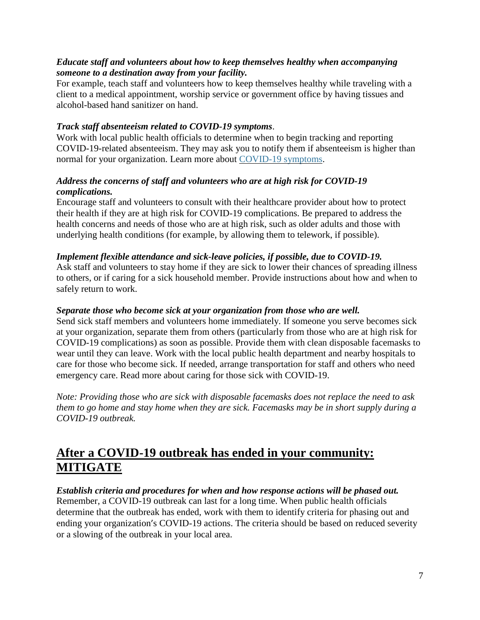### *Educate staff and volunteers about how to keep themselves healthy when accompanying someone to a destination away from your facility.*

For example, teach staff and volunteers how to keep themselves healthy while traveling with a client to a medical appointment, worship service or government office by having tissues and alcohol-based hand sanitizer on hand.

### *Track staff absenteeism related to COVID-19 symptoms*.

Work with local public health officials to determine when to begin tracking and reporting COVID-19-related absenteeism. They may ask you to notify them if absenteeism is higher than normal for your organization. Learn more about [COVID-19](https://www.cdc.gov/coronavirus/2019-ncov/about/symptoms.html) symptoms.

### *Address the concerns of staff and volunteers who are at high risk for COVID-19 complications.*

Encourage staff and volunteers to consult with their healthcare provider about how to protect their health if they are at high risk for COVID-19 complications. Be prepared to address the health concerns and needs of those who are at high risk, such as older adults and those with underlying health conditions (for example, by allowing them to telework, if possible).

### *Implement flexible attendance and sick-leave policies, if possible, due to COVID-19.*

Ask staff and volunteers to stay home if they are sick to lower their chances of spreading illness to others, or if caring for a sick household member. Provide instructions about how and when to safely return to work.

#### *Separate those who become sick at your organization from those who are well.*

Send sick staff members and volunteers home immediately. If someone you serve becomes sick at your organization, separate them from others (particularly from those who are at high risk for COVID-19 complications) as soon as possible. Provide them with clean disposable facemasks to wear until they can leave. Work with the local public health department and nearby hospitals to care for those who become sick. If needed, arrange transportation for staff and others who need emergency care. Read more about caring for those sick with COVID-19.

*Note: Providing those who are sick with disposable facemasks does not replace the need to ask them to go home and stay home when they are sick. Facemasks may be in short supply during a COVID-19 outbreak.*

## **After a COVID-19 outbreak has ended in your community: MITIGATE**

### *Establish criteria and procedures for when and how response actions will be phased out.* Remember, a COVID-19 outbreak can last for a long time. When public health officials determine that the outbreak has ended, work with them to identify criteria for phasing out and

ending your organization's COVID-19 actions. The criteria should be based on reduced severity or a slowing of the outbreak in your local area.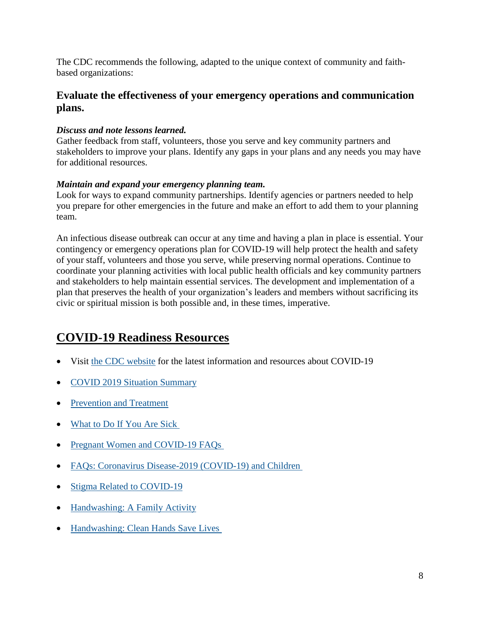The CDC recommends the following, adapted to the unique context of community and faithbased organizations:

### **Evaluate the effectiveness of your emergency operations and communication plans.**

### *Discuss and note lessons learned.*

Gather feedback from staff, volunteers, those you serve and key community partners and stakeholders to improve your plans. Identify any gaps in your plans and any needs you may have for additional resources.

### *Maintain and expand your emergency planning team.*

Look for ways to expand community partnerships. Identify agencies or partners needed to help you prepare for other emergencies in the future and make an effort to add them to your planning team.

An infectious disease outbreak can occur at any time and having a plan in place is essential. Your contingency or emergency operations plan for COVID-19 will help protect the health and safety of your staff, volunteers and those you serve, while preserving normal operations. Continue to coordinate your planning activities with local public health officials and key community partners and stakeholders to help maintain essential services. The development and implementation of a plan that preserves the health of your organization's leaders and members without sacrificing its civic or spiritual mission is both possible and, in these times, imperative.

## **COVID-19 Readiness Resources**

- Visit the CDC [website](about:blank) for the latest information and resources about COVID-19
- COVID 2019 Situation [Summary](about:blank)
- [Prevention](about:blank) and Treatment
- [What](about:blank) to Do If You Are Sick
- Pregnant Women and [COVID-19](about:blank) FAQs
- FAQs: Coronavirus [Disease-2019](about:blank) (COVID-19) and Children
- Stigma Related to [COVID-19](about:blank)
- [Handwashing:](about:blank) A Family Activity
- [Handwashing:](about:blank) Clean Hands Save Lives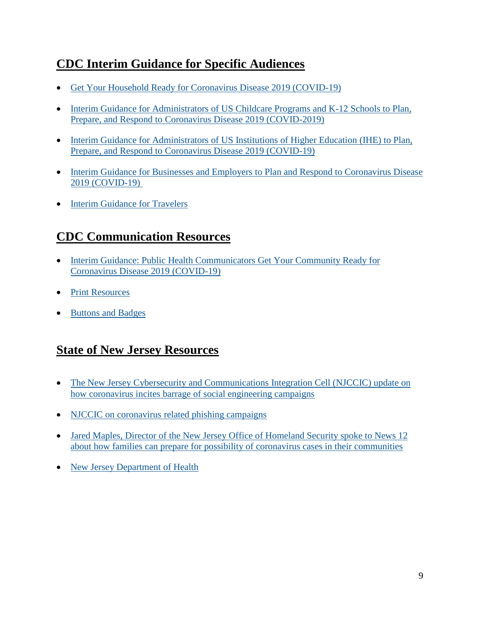## **CDC Interim Guidance for Specific Audiences**

- Get Your Household Ready for Coronavirus Disease 2019 [\(COVID-19\)](about:blank)
- Interim Guidance for [Administrators](about:blank) of US Childcare Programs and K-12 Schools to Plan, Prepare, and Respond to Coronavirus Disease 2019 [\(COVID-2019\)](about:blank)
- Interim Guidance for [Administrators](about:blank) of US Institutions of Higher Education (IHE) to Plan, Prepare, and Respond to Coronavirus Disease 2019 [\(COVID-19\)](about:blank)
- Interim Guidance for Businesses and Employers to Plan and Respond to [Coronavirus](about:blank) Disease 2019 [\(COVID-19\)](about:blank)
- Interim [Guidance](about:blank) for Travelers

## **CDC Communication Resources**

- Interim Guidance: Public Health [Communicators](about:blank) Get Your Community Ready for Coronavirus Disease 2019 [\(COVID-19\)](about:blank)
- **Print [Resources](about:blank)**
- [Buttons](about:blank) and Badges

## **State of New Jersey Resources**

- The New Jersey Cybersecurity and [Communications](about:blank) Integration Cell (NJCCIC) update on how coronavirus incites barrage of social [engineering](about:blank) campaigns
- NJCCIC on [coronavirus](about:blank) related phishing campaigns
- Jared Maples, Director of the New Jersey Office of Homeland Security spoke to News 12 about how families can prepare for possibility of coronavirus cases in their communities
- New Jersey [Department](about:blank) of Health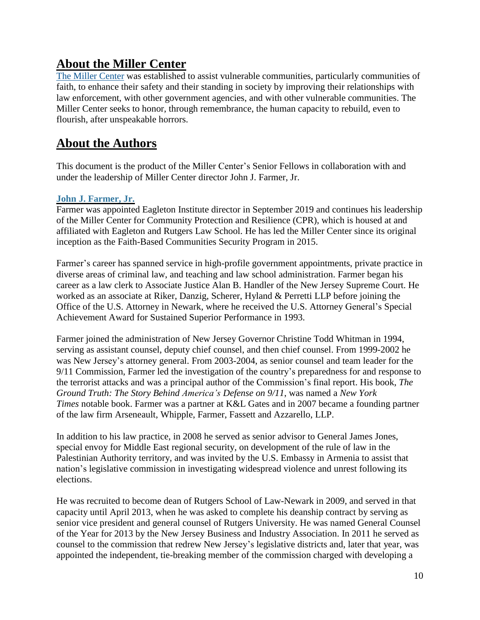### **About the Miller Center**

The Miller [Center](https://risc.rutgers.edu/cpr) was established to assist vulnerable communities, particularly communities of faith, to enhance their safety and their standing in society by improving their relationships with law enforcement, with other government agencies, and with other vulnerable communities. The Miller Center seeks to honor, through remembrance, the human capacity to rebuild, even to flourish, after unspeakable horrors.

### **About the Authors**

This document is the product of the Miller Center's Senior Fellows in collaboration with and under the leadership of Miller Center director John J. Farmer, Jr.

### **John J. [Farmer,](https://risc.rutgers.edu/staff/john-j-farmer-jr) Jr.**

Farmer was appointed Eagleton Institute director in September 2019 and continues his leadership of the Miller Center for Community Protection and Resilience (CPR), which is housed at and affiliated with Eagleton and Rutgers Law School. He has led the Miller Center since its original inception as the Faith-Based Communities Security Program in 2015.

Farmer's career has spanned service in high-profile government appointments, private practice in diverse areas of criminal law, and teaching and law school administration. Farmer began his career as a law clerk to Associate Justice Alan B. Handler of the New Jersey Supreme Court. He worked as an associate at Riker, Danzig, Scherer, Hyland & Perretti LLP before joining the Office of the U.S. Attorney in Newark, where he received the U.S. Attorney General's Special Achievement Award for Sustained Superior Performance in 1993.

Farmer joined the administration of New Jersey Governor Christine Todd Whitman in 1994, serving as assistant counsel, deputy chief counsel, and then chief counsel. From 1999-2002 he was New Jersey's attorney general. From 2003-2004, as senior counsel and team leader for the 9/11 Commission, Farmer led the investigation of the country's preparedness for and response to the terrorist attacks and was a principal author of the Commission's final report. His book, *The Ground Truth: The Story Behind America's Defense on 9/11*, was named a *New York Times* notable book. Farmer was a partner at K&L Gates and in 2007 became a founding partner of the law firm Arseneault, Whipple, Farmer, Fassett and Azzarello, LLP.

In addition to his law practice, in 2008 he served as senior advisor to General James Jones, special envoy for Middle East regional security, on development of the rule of law in the Palestinian Authority territory, and was invited by the U.S. Embassy in Armenia to assist that nation's legislative commission in investigating widespread violence and unrest following its elections.

He was recruited to become dean of Rutgers School of Law-Newark in 2009, and served in that capacity until April 2013, when he was asked to complete his deanship contract by serving as senior vice president and general counsel of Rutgers University. He was named General Counsel of the Year for 2013 by the New Jersey Business and Industry Association. In 2011 he served as counsel to the commission that redrew New Jersey's legislative districts and, later that year, was appointed the independent, tie-breaking member of the commission charged with developing a